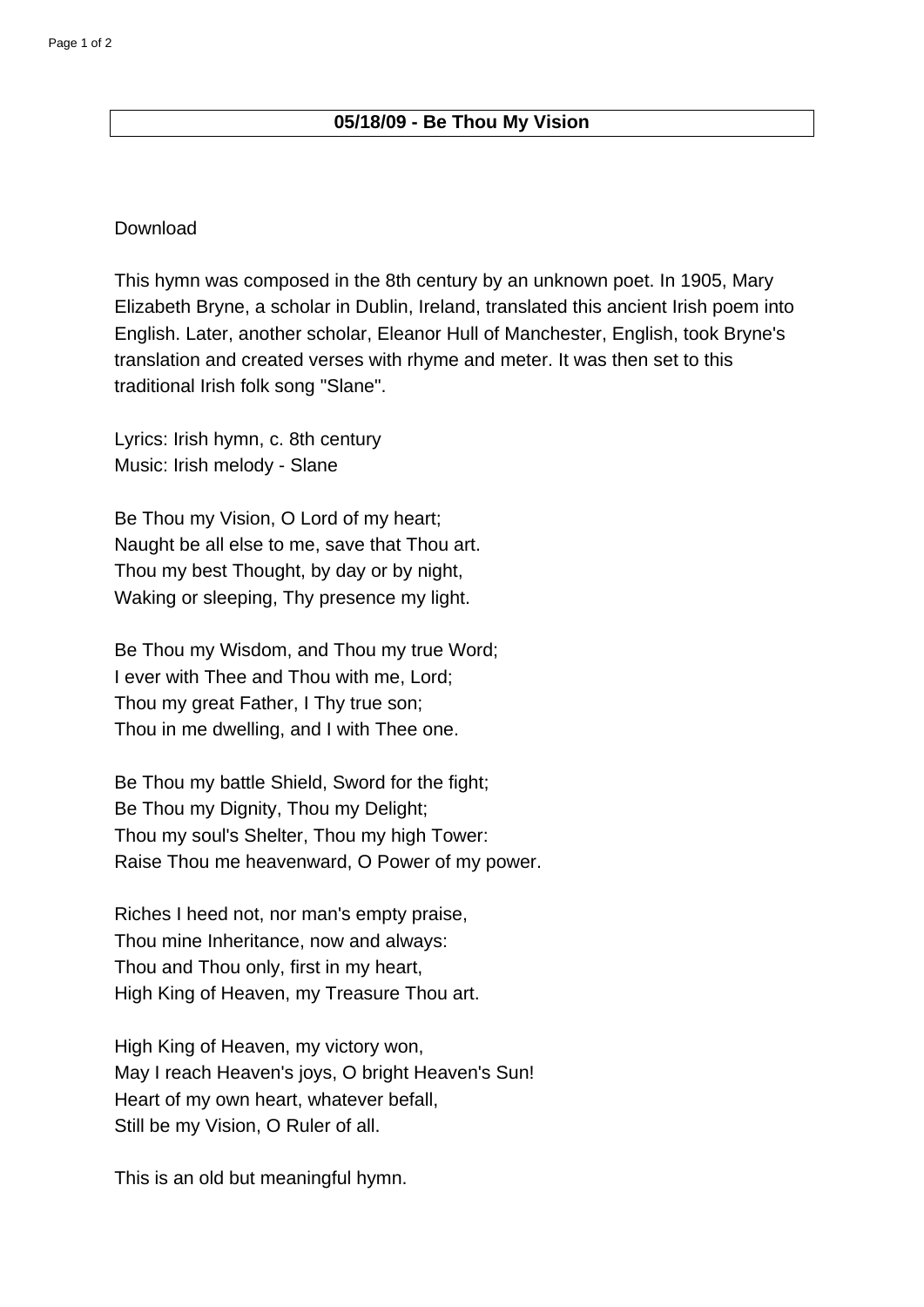## **05/18/09 - Be Thou My Vision**

## **Download**

This hymn was composed in the 8th century by an unknown poet. In 1905, Mary Elizabeth Bryne, a scholar in Dublin, Ireland, translated this ancient Irish poem into English. Later, another scholar, Eleanor Hull of Manchester, English, took Bryne's translation and created verses with rhyme and meter. It was then set to this traditional Irish folk song "Slane".

Lyrics: Irish hymn, c. 8th century Music: Irish melody - Slane

Be Thou my Vision, O Lord of my heart; Naught be all else to me, save that Thou art. Thou my best Thought, by day or by night, Waking or sleeping, Thy presence my light.

Be Thou my Wisdom, and Thou my true Word; I ever with Thee and Thou with me, Lord; Thou my great Father, I Thy true son; Thou in me dwelling, and I with Thee one.

Be Thou my battle Shield, Sword for the fight; Be Thou my Dignity, Thou my Delight; Thou my soul's Shelter, Thou my high Tower: Raise Thou me heavenward, O Power of my power.

Riches I heed not, nor man's empty praise, Thou mine Inheritance, now and always: Thou and Thou only, first in my heart, High King of Heaven, my Treasure Thou art.

High King of Heaven, my victory won, May I reach Heaven's joys, O bright Heaven's Sun! Heart of my own heart, whatever befall, Still be my Vision, O Ruler of all.

This is an old but meaningful hymn.